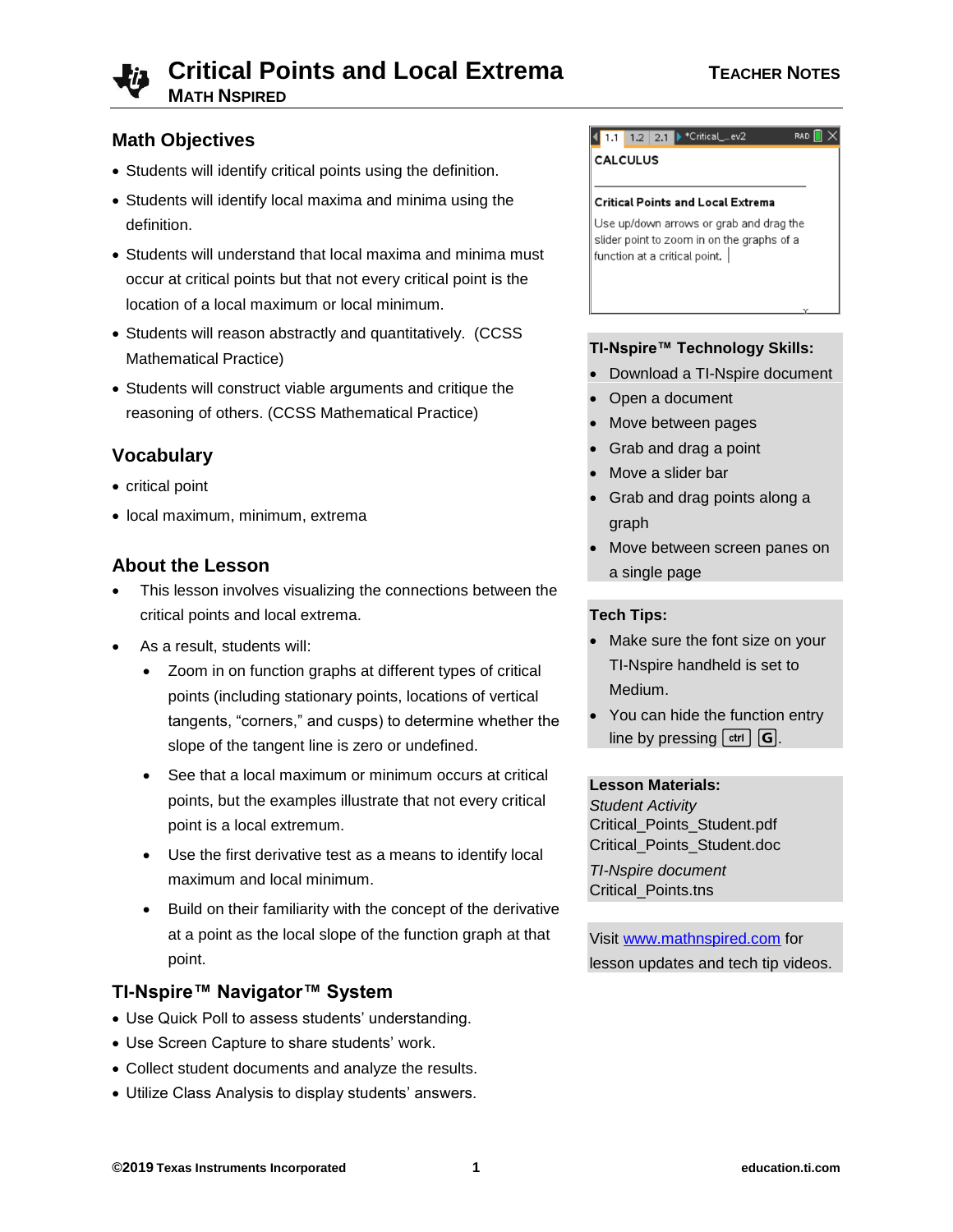

# **Math Objectives**

- Students will identify critical points using the definition.
- Students will identify local maxima and minima using the definition.
- Students will understand that local maxima and minima must occur at critical points but that not every critical point is the location of a local maximum or local minimum.
- Students will reason abstractly and quantitatively. (CCSS Mathematical Practice)
- Students will construct viable arguments and critique the reasoning of others. (CCSS Mathematical Practice)

# **Vocabulary**

- critical point
- local maximum, minimum, extrema

# **About the Lesson**

- This lesson involves visualizing the connections between the critical points and local extrema.
- As a result, students will:
	- Zoom in on function graphs at different types of critical points (including stationary points, locations of vertical tangents, "corners," and cusps) to determine whether the slope of the tangent line is zero or undefined.
	- See that a local maximum or minimum occurs at critical points, but the examples illustrate that not every critical point is a local extremum.
	- Use the first derivative test as a means to identify local maximum and local minimum.
	- Build on their familiarity with the concept of the derivative at a point as the local slope of the function graph at that point.

# **TI-Nspire™ Navigator™ System**

- Use Quick Poll to assess students' understanding.
- Use Screen Capture to share students' work.
- Collect student documents and analyze the results.
- Utilize Class Analysis to display students' answers.

#### 1.1 1.2 2.1 Critical\_..ev2 RAD  $\blacksquare \times$

**CALCULUS** 

#### **Critical Points and Local Extrema**

Use up/down arrows or grab and drag the slider point to zoom in on the graphs of a function at a critical point.

#### **TI-Nspire™ Technology Skills:**

- Download a TI-Nspire document
- Open a document
- Move between pages
- Grab and drag a point
- Move a slider bar
- Grab and drag points along a graph
- Move between screen panes on a single page

#### **Tech Tips:**

- Make sure the font size on your TI-Nspire handheld is set to Medium.
- You can hide the function entry line by pressing  $[\text{ctr}]\text{G}$ .

#### **Lesson Materials:**

*Student Activity* Critical\_Points\_Student.pdf Critical\_Points\_Student.doc

*TI-Nspire document* Critical\_Points.tns

Visit [www.mathnspired.com](http://www.mathnspired.com/) for lesson updates and tech tip videos.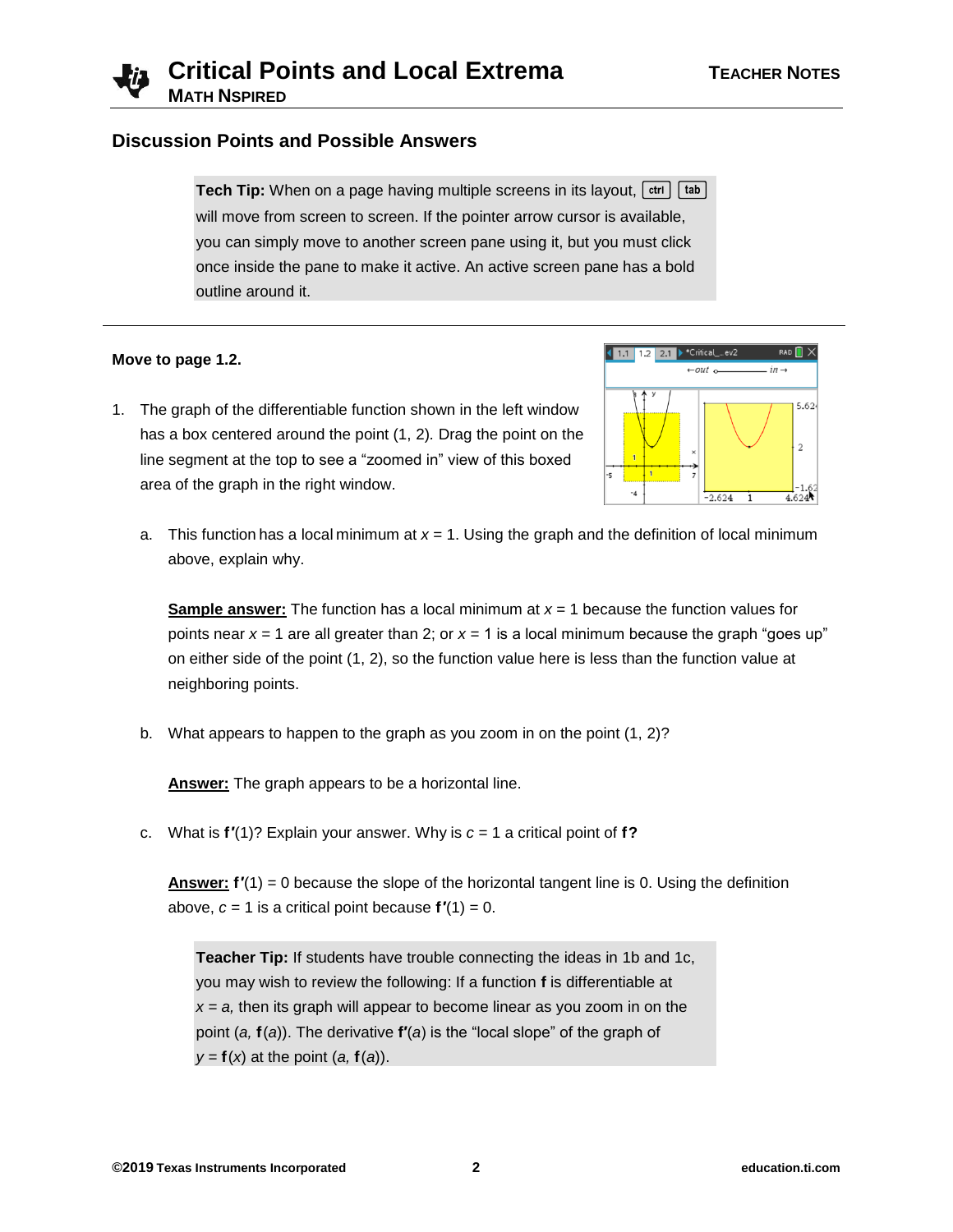

### **Discussion Points and Possible Answers**

**Tech Tip:** When on a page having multiple screens in its layout,  $[\text{ctr}]$  [tab] will move from screen to screen. If the pointer arrow cursor is available, you can simply move to another screen pane using it, but you must click once inside the pane to make it active. An active screen pane has a bold outline around it.

#### **Move to page 1.2.**



- 1. The graph of the differentiable function shown in the left window has a box centered around the point (1, 2)*.* Drag the point on the line segment at the top to see a "zoomed in" view of this boxed area of the graph in the right window.
	- a. This function has a local minimum at *x* = 1. Using the graph and the definition of local minimum above, explain why.

**Sample answer:** The function has a local minimum at *x* = 1 because the function values for points near  $x = 1$  are all greater than 2; or  $x = 1$  is a local minimum because the graph "goes up" on either side of the point (1, 2), so the function value here is less than the function value at neighboring points.

b. What appears to happen to the graph as you zoom in on the point (1, 2)?

**Answer:** The graph appears to be a horizontal line.

c. What is **f′**(1)? Explain your answer. Why is *c* = 1 a critical point of **f?**

**Answer: f′**(1) = 0 because the slope of the horizontal tangent line is 0. Using the definition above,  $c = 1$  is a critical point because  $f'(1) = 0$ .

**Teacher Tip:** If students have trouble connecting the ideas in 1b and 1c, you may wish to review the following: If a function **f** is differentiable at  $x = a$ , then its graph will appear to become linear as you zoom in on the point (*a,* **f**(*a*)). The derivative **f′**(*a*) is the "local slope" of the graph of  $y = f(x)$  at the point  $(a, f(a))$ .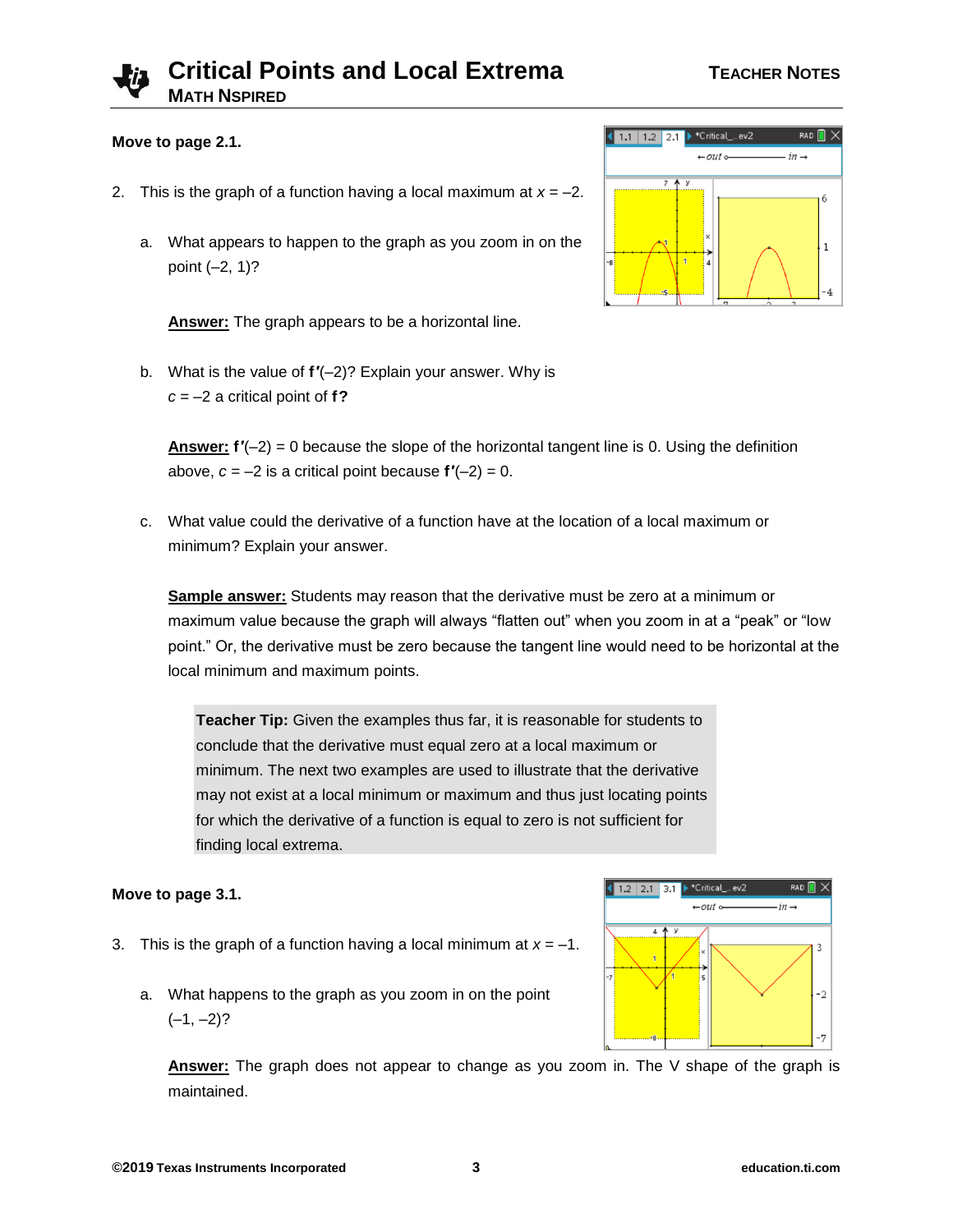# **Critical Points and Local Extrema TEACHER NOTES MATH NSPIRED**

#### **Move to page 2.1.**

- 2. This is the graph of a function having a local maximum at  $x = -2$ .
	- a. What appears to happen to the graph as you zoom in on the point (–2, 1)?

**Answer:** The graph appears to be a horizontal line.

b. What is the value of **f′**(–2)? Explain your answer. Why is *c* = –2 a critical point of **f?**

**Answer: f′**(–2) = 0 because the slope of the horizontal tangent line is 0. Using the definition above,  $c = -2$  is a critical point because  $f'(-2) = 0$ .

c. What value could the derivative of a function have at the location of a local maximum or minimum? Explain your answer.

**Sample answer:** Students may reason that the derivative must be zero at a minimum or maximum value because the graph will always "flatten out" when you zoom in at a "peak" or "low point." Or, the derivative must be zero because the tangent line would need to be horizontal at the local minimum and maximum points.

**Teacher Tip:** Given the examples thus far, it is reasonable for students to conclude that the derivative must equal zero at a local maximum or minimum. The next two examples are used to illustrate that the derivative may not exist at a local minimum or maximum and thus just locating points for which the derivative of a function is equal to zero is not sufficient for finding local extrema.

#### **Move to page 3.1.**

- 3. This is the graph of a function having a local minimum at  $x = -1$ .
	- a. What happens to the graph as you zoom in on the point  $(-1, -2)?$

**Answer:** The graph does not appear to change as you zoom in. The V shape of the graph is maintained.



 $RAD$   $\blacksquare$   $\times$ 

3

 $-2$ 

 $in -$ 

\*Critical ... ev2

out

 $1.2$  2.1 3.1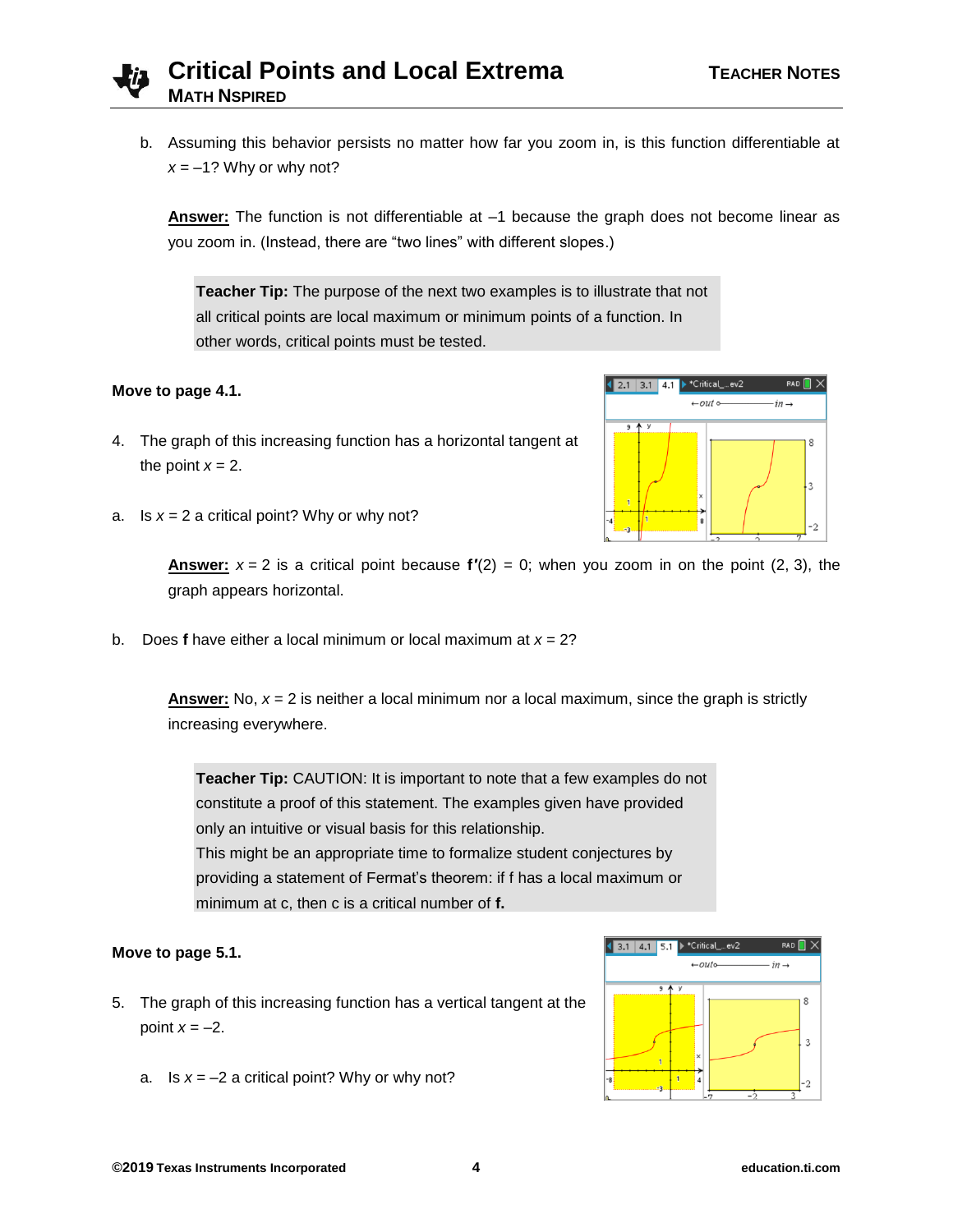

b. Assuming this behavior persists no matter how far you zoom in, is this function differentiable at  $x = -1$ ? Why or why not?

**Answer:** The function is not differentiable at –1 because the graph does not become linear as you zoom in. (Instead, there are "two lines" with different slopes.)

**Teacher Tip:** The purpose of the next two examples is to illustrate that not all critical points are local maximum or minimum points of a function. In other words, critical points must be tested.

#### **Move to page 4.1.**

- 4. The graph of this increasing function has a horizontal tangent at the point  $x = 2$ .
- a. Is  $x = 2$  a critical point? Why or why not?

**Answer:**  $x = 2$  is a critical point because  $f'(2) = 0$ ; when you zoom in on the point (2, 3), the graph appears horizontal.

b. Does **f** have either a local minimum or local maximum at *x* = 2?

**Answer:** No, *x* = 2 is neither a local minimum nor a local maximum, since the graph is strictly increasing everywhere.

**Teacher Tip:** CAUTION: It is important to note that a few examples do not constitute a proof of this statement. The examples given have provided only an intuitive or visual basis for this relationship. This might be an appropriate time to formalize student conjectures by providing a statement of Fermat's theorem: if f has a local maximum or minimum at c, then c is a critical number of **f.**

#### **Move to page 5.1.**

- 5. The graph of this increasing function has a vertical tangent at the point  $x = -2$ .
	- a. Is  $x = -2$  a critical point? Why or why not?